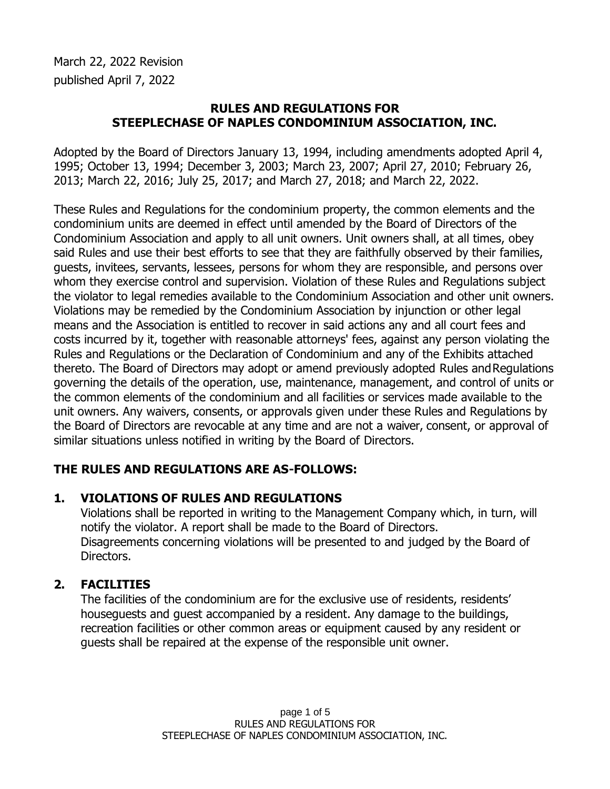March 22, 2022 Revision published April 7, 2022

### **RULES AND REGULATIONS FOR STEEPLECHASE OF NAPLES CONDOMINIUM ASSOCIATION, INC.**

Adopted by the Board of Directors January 13, 1994, including amendments adopted April 4, 1995; October 13, 1994; December 3, 2003; March 23, 2007; April 27, 2010; February 26, 2013; March 22, 2016; July 25, 2017; and March 27, 2018; and March 22, 2022.

These Rules and Regulations for the condominium property, the common elements and the condominium units are deemed in effect until amended by the Board of Directors of the Condominium Association and apply to all unit owners. Unit owners shall, at all times, obey said Rules and use their best efforts to see that they are faithfully observed by their families, guests, invitees, servants, lessees, persons for whom they are responsible, and persons over whom they exercise control and supervision. Violation of these Rules and Regulations subject the violator to legal remedies available to the Condominium Association and other unit owners. Violations may be remedied by the Condominium Association by injunction or other legal means and the Association is entitled to recover in said actions any and all court fees and costs incurred by it, together with reasonable attorneys' fees, against any person violating the Rules and Regulations or the Declaration of Condominium and any of the Exhibits attached thereto. The Board of Directors may adopt or amend previously adopted Rules andRegulations governing the details of the operation, use, maintenance, management, and control of units or the common elements of the condominium and all facilities or services made available to the unit owners. Any waivers, consents, or approvals given under these Rules and Regulations by the Board of Directors are revocable at any time and are not a waiver, consent, or approval of similar situations unless notified in writing by the Board of Directors.

## **THE RULES AND REGULATIONS ARE AS-FOLLOWS:**

## **1. VIOLATIONS OF RULES AND REGULATIONS**

Violations shall be reported in writing to the Management Company which, in turn, will notify the violator. A report shall be made to the Board of Directors. Disagreements concerning violations will be presented to and judged by the Board of Directors.

## **2. FACILITIES**

The facilities of the condominium are for the exclusive use of residents, residents' houseguests and guest accompanied by a resident. Any damage to the buildings, recreation facilities or other common areas or equipment caused by any resident or guests shall be repaired at the expense of the responsible unit owner.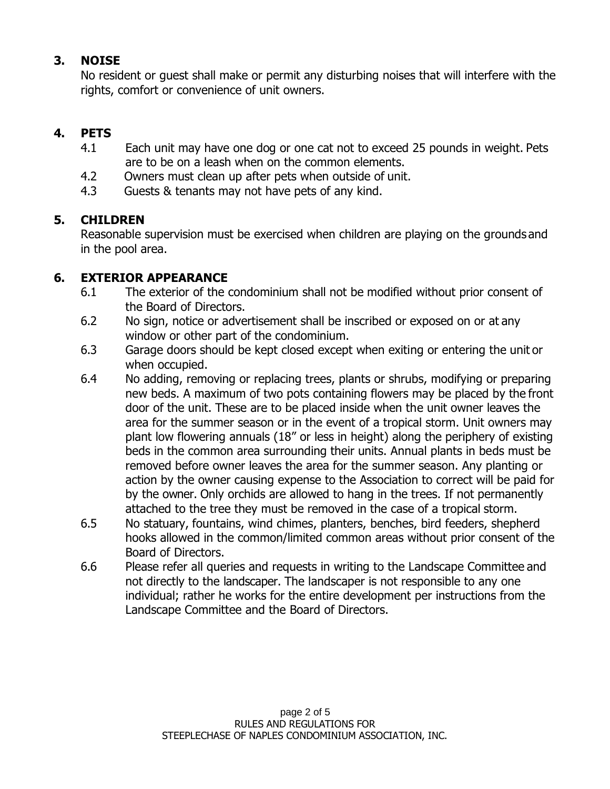## **3. NOISE**

No resident or guest shall make or permit any disturbing noises that will interfere with the rights, comfort or convenience of unit owners.

# **4. PETS**

- 4.1 Each unit may have one dog or one cat not to exceed 25 pounds in weight. Pets are to be on a leash when on the common elements.
- 4.2 Owners must clean up after pets when outside of unit.
- 4.3 Guests & tenants may not have pets of any kind.

## **5. CHILDREN**

Reasonable supervision must be exercised when children are playing on the grounds and in the pool area.

## **6. EXTERIOR APPEARANCE**

- 6.1 The exterior of the condominium shall not be modified without prior consent of the Board of Directors.
- 6.2 No sign, notice or advertisement shall be inscribed or exposed on or at any window or other part of the condominium.
- 6.3 Garage doors should be kept closed except when exiting or entering the unit or when occupied.
- 6.4 No adding, removing or replacing trees, plants or shrubs, modifying or preparing new beds. A maximum of two pots containing flowers may be placed by the front door of the unit. These are to be placed inside when the unit owner leaves the area for the summer season or in the event of a tropical storm. Unit owners may plant low flowering annuals (18" or less in height) along the periphery of existing beds in the common area surrounding their units. Annual plants in beds must be removed before owner leaves the area for the summer season. Any planting or action by the owner causing expense to the Association to correct will be paid for by the owner. Only orchids are allowed to hang in the trees. If not permanently attached to the tree they must be removed in the case of a tropical storm.
- 6.5 No statuary, fountains, wind chimes, planters, benches, bird feeders, shepherd hooks allowed in the common/limited common areas without prior consent of the Board of Directors.
- 6.6 Please refer all queries and requests in writing to the Landscape Committee and not directly to the landscaper. The landscaper is not responsible to any one individual; rather he works for the entire development per instructions from the Landscape Committee and the Board of Directors.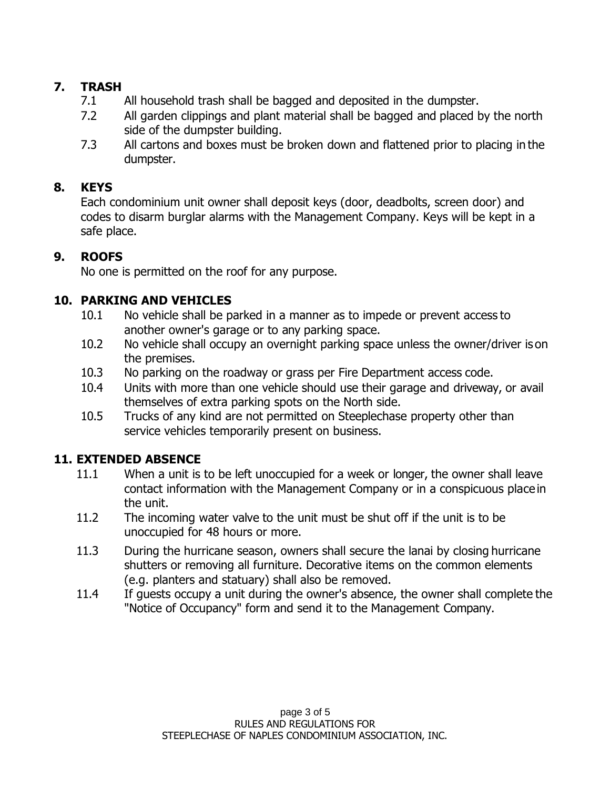## **7. TRASH**

- 7.1 All household trash shall be bagged and deposited in the dumpster.
- 7.2 All garden clippings and plant material shall be bagged and placed by the north side of the dumpster building.
- 7.3 All cartons and boxes must be broken down and flattened prior to placing in the dumpster.

## **8. KEYS**

Each condominium unit owner shall deposit keys (door, deadbolts, screen door) and codes to disarm burglar alarms with the Management Company. Keys will be kept in a safe place.

# **9. ROOFS**

No one is permitted on the roof for any purpose.

# **10. PARKING AND VEHICLES**

- 10.1 No vehicle shall be parked in a manner as to impede or prevent access to another owner's garage or to any parking space.
- 10.2 No vehicle shall occupy an overnight parking space unless the owner/driver is on the premises.
- 10.3 No parking on the roadway or grass per Fire Department access code.
- 10.4 Units with more than one vehicle should use their garage and driveway, or avail themselves of extra parking spots on the North side.
- 10.5 Trucks of any kind are not permitted on Steeplechase property other than service vehicles temporarily present on business.

# **11. EXTENDED ABSENCE**

- 11.1 When a unit is to be left unoccupied for a week or longer, the owner shall leave contact information with the Management Company or in a conspicuous place in the unit.
- 11.2 The incoming water valve to the unit must be shut off if the unit is to be unoccupied for 48 hours or more.
- 11.3 During the hurricane season, owners shall secure the lanai by closing hurricane shutters or removing all furniture. Decorative items on the common elements (e.g. planters and statuary) shall also be removed.
- 11.4 If guests occupy a unit during the owner's absence, the owner shall complete the "Notice of Occupancy" form and send it to the Management Company.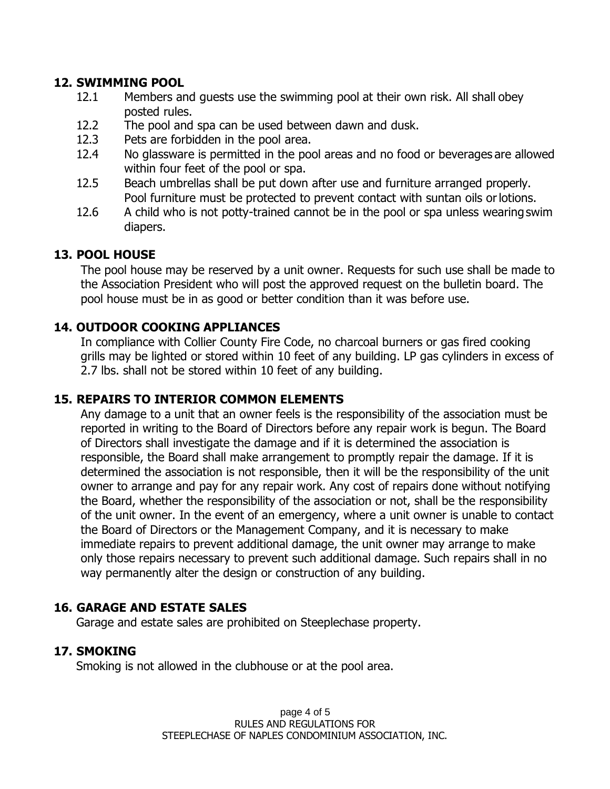## **12. SWIMMING POOL**

- 12.1 Members and guests use the swimming pool at their own risk. All shall obey posted rules.
- 12.2 The pool and spa can be used between dawn and dusk.
- 12.3 Pets are forbidden in the pool area.
- 12.4 No glassware is permitted in the pool areas and no food or beverages are allowed within four feet of the pool or spa.
- 12.5 Beach umbrellas shall be put down after use and furniture arranged properly. Pool furniture must be protected to prevent contact with suntan oils orlotions.
- 12.6 A child who is not potty-trained cannot be in the pool or spa unless wearing swim diapers.

### **13. POOL HOUSE**

The pool house may be reserved by a unit owner. Requests for such use shall be made to the Association President who will post the approved request on the bulletin board. The pool house must be in as good or better condition than it was before use.

### **14. OUTDOOR COOKING APPLIANCES**

In compliance with Collier County Fire Code, no charcoal burners or gas fired cooking grills may be lighted or stored within 10 feet of any building. LP gas cylinders in excess of 2.7 lbs. shall not be stored within 10 feet of any building.

#### **15. REPAIRS TO INTERIOR COMMON ELEMENTS**

Any damage to a unit that an owner feels is the responsibility of the association must be reported in writing to the Board of Directors before any repair work is begun. The Board of Directors shall investigate the damage and if it is determined the association is responsible, the Board shall make arrangement to promptly repair the damage. If it is determined the association is not responsible, then it will be the responsibility of the unit owner to arrange and pay for any repair work. Any cost of repairs done without notifying the Board, whether the responsibility of the association or not, shall be the responsibility of the unit owner. In the event of an emergency, where a unit owner is unable to contact the Board of Directors or the Management Company, and it is necessary to make immediate repairs to prevent additional damage, the unit owner may arrange to make only those repairs necessary to prevent such additional damage. Such repairs shall in no way permanently alter the design or construction of any building.

#### **16. GARAGE AND ESTATE SALES**

Garage and estate sales are prohibited on Steeplechase property.

## **17. SMOKING**

Smoking is not allowed in the clubhouse or at the pool area.